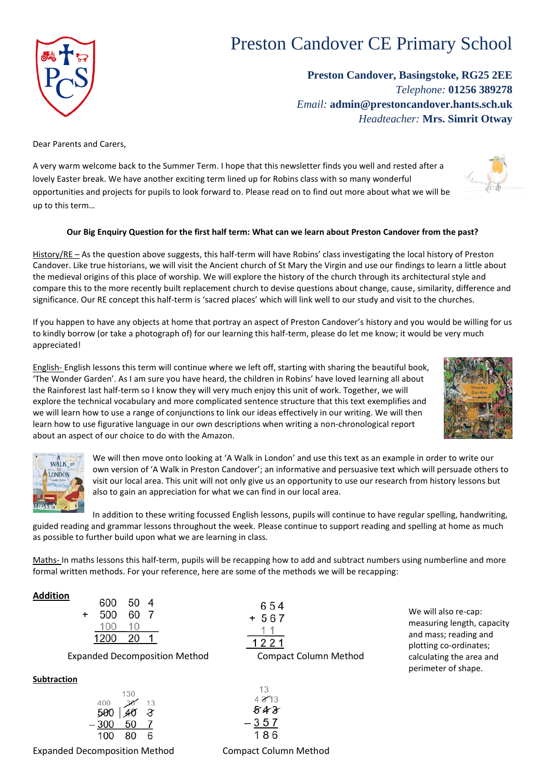# Preston Candover CE Primary School

**Preston Candover, Basingstoke, RG25 2EE** *Telephone:* **01256 389278** *Email:* **admin@prestoncandover.hants.sch.uk** *Headteacher:* **Mrs. Simrit Otway**

Dear Parents and Carers,

A very warm welcome back to the Summer Term. I hope that this newsletter finds you well and rested after a lovely Easter break. We have another exciting term lined up for Robins class with so many wonderful opportunities and projects for pupils to look forward to. Please read on to find out more about what we will be up to this term…

#### **Our Big Enquiry Question for the first half term: What can we learn about Preston Candover from the past?**

History/RE – As the question above suggests, this half-term will have Robins' class investigating the local history of Preston Candover. Like true historians, we will visit the Ancient church of St Mary the Virgin and use our findings to learn a little about the medieval origins of this place of worship. We will explore the history of the church through its architectural style and compare this to the more recently built replacement church to devise questions about change, cause, similarity, difference and significance. Our RE concept this half-term is 'sacred places' which will link well to our study and visit to the churches.

If you happen to have any objects at home that portray an aspect of Preston Candover's history and you would be willing for us to kindly borrow (or take a photograph of) for our learning this half-term, please do let me know; it would be very much appreciated!

English- English lessons this term will continue where we left off, starting with sharing the beautiful book, 'The Wonder Garden'. As I am sure you have heard, the children in Robins' have loved learning all about the Rainforest last half-term so I know they will very much enjoy this unit of work. Together, we will explore the technical vocabulary and more complicated sentence structure that this text exemplifies and we will learn how to use a range of conjunctions to link our ideas effectively in our writing. We will then learn how to use figurative language in our own descriptions when writing a non-chronological report about an aspect of our choice to do with the Amazon.

> We will then move onto looking at 'A Walk in London' and use this text as an example in order to write our own version of 'A Walk in Preston Candover'; an informative and persuasive text which will persuade others to visit our local area. This unit will not only give us an opportunity to use our research from history lessons but also to gain an appreciation for what we can find in our local area.

In addition to these writing focussed English lessons, pupils will continue to have regular spelling, handwriting, guided reading and grammar lessons throughout the week. Please continue to support reading and spelling at home as much as possible to further build upon what we are learning in class.

Maths- In maths lessons this half-term, pupils will be recapping how to add and subtract numbers using numberline and more formal written methods. For your reference, here are some of the methods we will be recapping:

 $W_{\text{ALK}}^{\text{A}}$ **LONDON** 

|           | uuu  | υu  |        |  |
|-----------|------|-----|--------|--|
| $\ddot{}$ | 500  | 60  | $\tau$ |  |
|           | 100  | 10  |        |  |
|           | 1200 | -20 |        |  |
|           |      |     |        |  |

 $130$ 

 $COP$   $EQ$   $A$ 

Expanded Decomposition Method Compact Column Method

## **Subtraction**

| 400    |                      | 13 |  |
|--------|----------------------|----|--|
|        | $500 \mid 40 \mid 8$ |    |  |
| $-300$ | 50                   |    |  |
| 100    | 80                   | 6  |  |
|        |                      |    |  |

Expanded Decomposition Method **Compact Column Method** 

 $1<sup>2</sup>$ 

 $4.213$ 

843 357 186







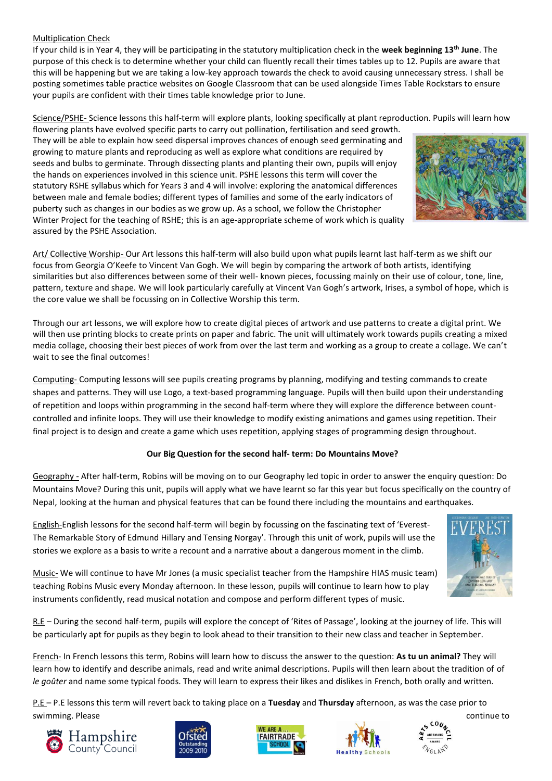#### Multiplication Check

If your child is in Year 4, they will be participating in the statutory multiplication check in the **week beginning 13th June**. The purpose of this check is to determine whether your child can fluently recall their times tables up to 12. Pupils are aware that this will be happening but we are taking a low-key approach towards the check to avoid causing unnecessary stress. I shall be posting sometimes table practice websites on Google Classroom that can be used alongside Times Table Rockstars to ensure your pupils are confident with their times table knowledge prior to June.

Science/PSHE- Science lessons this half-term will explore plants, looking specifically at plant reproduction. Pupils will learn how

flowering plants have evolved specific parts to carry out pollination, fertilisation and seed growth. They will be able to explain how seed dispersal improves chances of enough seed germinating and growing to mature plants and reproducing as well as explore what conditions are required by seeds and bulbs to germinate. Through dissecting plants and planting their own, pupils will enjoy the hands on experiences involved in this science unit. PSHE lessons this term will cover the statutory RSHE syllabus which for Years 3 and 4 will involve: exploring the anatomical differences between male and female bodies; different types of families and some of the early indicators of puberty such as changes in our bodies as we grow up. As a school, we follow the Christopher Winter Project for the teaching of RSHE; this is an age-appropriate scheme of work which is quality assured by the PSHE Association.



Art/ Collective Worship- Our Art lessons this half-term will also build upon what pupils learnt last half-term as we shift our focus from Georgia O'Keefe to Vincent Van Gogh. We will begin by comparing the artwork of both artists, identifying similarities but also differences between some of their well- known pieces, focussing mainly on their use of colour, tone, line, pattern, texture and shape. We will look particularly carefully at Vincent Van Gogh's artwork, Irises, a symbol of hope, which is the core value we shall be focussing on in Collective Worship this term.

Through our art lessons, we will explore how to create digital pieces of artwork and use patterns to create a digital print. We will then use printing blocks to create prints on paper and fabric. The unit will ultimately work towards pupils creating a mixed media collage, choosing their best pieces of work from over the last term and working as a group to create a collage. We can't wait to see the final outcomes!

Computing- Computing lessons will see pupils creating programs by planning, modifying and testing commands to create shapes and patterns. They will use Logo, a text-based programming language. Pupils will then build upon their understanding of repetition and loops within programming in the second half-term where they will explore the difference between countcontrolled and infinite loops. They will use their knowledge to modify existing animations and games using repetition. Their final project is to design and create a game which uses repetition, applying stages of programming design throughout.

## **Our Big Question for the second half- term: Do Mountains Move?**

Geography - After half-term, Robins will be moving on to our Geography led topic in order to answer the enquiry question: Do Mountains Move? During this unit, pupils will apply what we have learnt so far this year but focus specifically on the country of Nepal, looking at the human and physical features that can be found there including the mountains and earthquakes.

English-English lessons for the second half-term will begin by focussing on the fascinating text of 'Everest-The Remarkable Story of Edmund Hillary and Tensing Norgay'. Through this unit of work, pupils will use the stories we explore as a basis to write a recount and a narrative about a dangerous moment in the climb.

Music- We will continue to have Mr Jones (a music specialist teacher from the Hampshire HIAS music team) teaching Robins Music every Monday afternoon. In these lesson, pupils will continue to learn how to play instruments confidently, read musical notation and compose and perform different types of music.



R.E – During the second half-term, pupils will explore the concept of 'Rites of Passage', looking at the journey of life. This will be particularly apt for pupils as they begin to look ahead to their transition to their new class and teacher in September.

French- In French lessons this term, Robins will learn how to discuss the answer to the question: **As tu un animal?** They will learn how to identify and describe animals, read and write animal descriptions. Pupils will then learn about the tradition of of *le goûter* and name some typical foods. They will learn to express their likes and dislikes in French, both orally and written.

P.E – P.E lessons this term will revert back to taking place on a **Tuesday** and **Thursday** afternoon, as was the case prior to swimming. Please continue to continue to the continue to the continue to continue to continue to continue to the continue to the continue of the continue of the continue to the continue of the continue of the continue of t